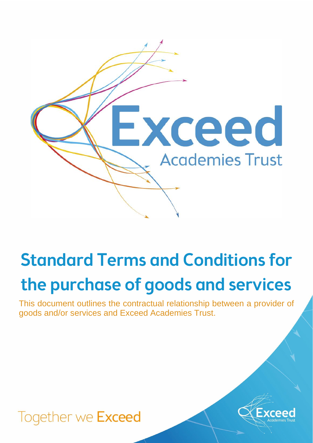

# Standard Terms and Conditions for the purchase of goods and services

This document outlines the contractual relationship between a provider of goods and/or services and Exceed Academies Trust.

# Together we Exceed

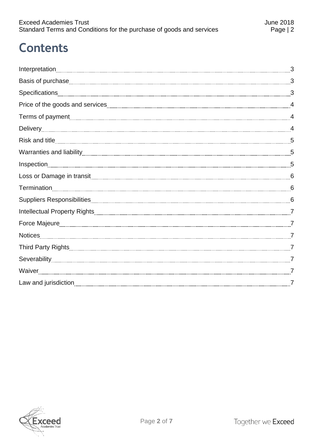# **Contents**

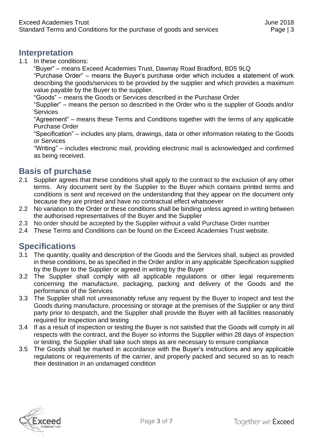#### <span id="page-2-0"></span>**Interpretation**

1.1 In these conditions:

"Buyer" – means Exceed Academies Trust, Dawnay Road Bradford, BD5 9LQ

"Purchase Order" – means the Buyer's purchase order which includes a statement of work describing the goods/services to be provided by the supplier and which provides a maximum value payable by the Buyer to the supplier.

"Goods" – means the Goods or Services described in the Purchase Order

"Supplier" – means the person so described in the Order who is the supplier of Goods and/or **Services** 

"Agreement" – means these Terms and Conditions together with the terms of any applicable Purchase Order

"Specification" – includes any plans, drawings, data or other information relating to the Goods or Services

"Writing" – includes electronic mail, providing electronic mail is acknowledged and confirmed as being received.

#### <span id="page-2-1"></span>**Basis of purchase**

- 2.1 Supplier agrees that these conditions shall apply to the contract to the exclusion of any other terms. Any document sent by the Supplier to the Buyer which contains printed terms and conditions is sent and received on the understanding that they appear on the document only because they are printed and have no contractual effect whatsoever
- 2.2 No variation to the Order or these conditions shall be binding unless agreed in writing between the authorised representatives of the Buyer and the Supplier
- 2.3 No order should be accepted by the Supplier without a valid Purchase Order number
- 2.4 These Terms and Conditions can be found on the Exceed Academies Trust website.

# <span id="page-2-2"></span>**Specifications**

- 3.1 The quantity, quality and description of the Goods and the Services shall, subject as provided in these conditions, be as specified in the Order and/or in any applicable Specification supplied by the Buyer to the Supplier or agreed in writing by the Buyer
- 3.2 The Supplier shall comply with all applicable regulations or other legal requirements concerning the manufacture, packaging, packing and delivery of the Goods and the performance of the Services
- 3.3 The Supplier shall not unreasonably refuse any request by the Buyer to inspect and test the Goods during manufacture, processing or storage at the premises of the Supplier or any third party prior to despatch, and the Supplier shall provide the Buyer with all facilities reasonably required for inspection and testing
- 3.4 If as a result of inspection or testing the Buyer is not satisfied that the Goods will comply in all respects with the contract, and the Buyer so informs the Supplier within 28 days of inspection or testing, the Supplier shall take such steps as are necessary to ensure compliance
- 3.5 The Goods shall be marked in accordance with the Buyer's instructions and any applicable regulations or requirements of the carrier, and properly packed and secured so as to reach their destination in an undamaged condition

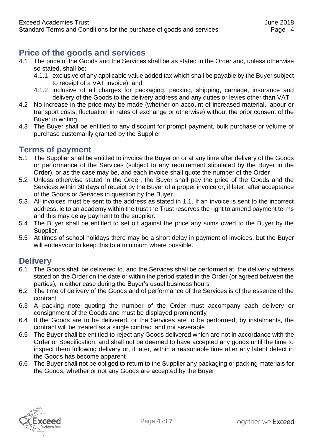## <span id="page-3-0"></span>**Price of the goods and services**

- 4.1 The price of the Goods and the Services shall be as stated in the Order and, unless otherwise so stated, shall be:
	- 4.1.1 exclusive of any applicable value added tax which shall be payable by the Buyer subject to receipt of a VAT invoice); and
	- 4.1.2 inclusive of all charges for packaging, packing, shipping, carriage, insurance and delivery of the Goods to the delivery address and any duties or levies other than VAT
- 4.2 No increase in the price may be made (whether on account of increased material, labour or transport costs, fluctuation in rates of exchange or otherwise) without the prior consent of the Buyer in writing
- 4.3 The Buyer shall be entitled to any discount for prompt payment, bulk purchase or volume of purchase customarily granted by the Supplier

#### <span id="page-3-1"></span>**Terms of payment**

- 5.1 The Supplier shall be entitled to invoice the Buyer on or at any time after delivery of the Goods or performance of the Services (subject to any requirement stipulated by the Buyer in the Order), or as the case may be, and each invoice shall quote the number of the Order
- 5.2 Unless otherwise stated in the Order, the Buyer shall pay the price of the Goods and the Services within 30 days of receipt by the Buyer of a proper invoice or, if later, after acceptance of the Goods or Services in question by the Buyer.
- 5.3 All invoices must be sent to the address as stated in 1.1. If an invoice is sent to the incorrect address, ie to an academy within the trust the Trust reserves the right to amend payment terms and this may delay payment to the supplier.
- 5.4 The Buyer shall be entitled to set off against the price any sums owed to the Buyer by the Supplier.
- 5.5 At times of school holidays there may be a short delay in payment of invoices, but the Buyer will endeavour to keep this to a minimum where possible.

#### <span id="page-3-2"></span>**Delivery**

- 6.1 The Goods shall be delivered to, and the Services shall be performed at, the delivery address stated on the Order on the date or within the period stated in the Order (or agreed between the parties), in either case during the Buyer's usual business hours
- 6.2 The time of delivery of the Goods and of performance of the Services is of the essence of the contract
- 6.3 A packing note quoting the number of the Order must accompany each delivery or consignment of the Goods and must be displayed prominently
- 6.4 If the Goods are to be delivered, or the Services are to be performed, by instalments, the contract will be treated as a single contract and not severable
- 6.5 The Buyer shall be entitled to reject any Goods delivered which are not in accordance with the Order or Specification, and shall not be deemed to have accepted any goods until the time to inspect them following delivery or, if later, within a reasonable time after any latent defect in the Goods has become apparent
- 6.6 The Buyer shall not be obliged to return to the Supplier any packaging or packing materials for the Goods, whether or not any Goods are accepted by the Buyer

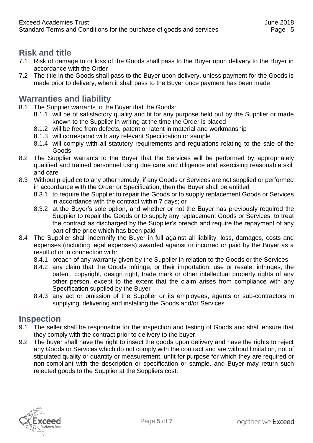# <span id="page-4-0"></span>**Risk and title**

- 7.1 Risk of damage to or loss of the Goods shall pass to the Buyer upon delivery to the Buyer in accordance with the Order
- 7.2 The title in the Goods shall pass to the Buyer upon delivery, unless payment for the Goods is made prior to delivery, when it shall pass to the Buyer once payment has been made

#### <span id="page-4-1"></span>**Warranties and liability**

- 8.1 The Supplier warrants to the Buyer that the Goods:
	- 8.1.1 will be of satisfactory quality and fit for any purpose held out by the Supplier or made known to the Supplier in writing at the time the Order is placed
	- 8.1.2 will be free from defects, patent or latent in material and workmanship
	- 8.1.3 will correspond with any relevant Specification or sample
	- 8.1.4 will comply with all statutory requirements and regulations relating to the sale of the Goods
- 8.2 The Supplier warrants to the Buyer that the Services will be performed by appropriately qualified and trained personnel using due care and diligence and exercising reasonable skill and care
- 8.3 Without prejudice to any other remedy, if any Goods or Services are not supplied or performed in accordance with the Order or Specification, then the Buyer shall be entitled
	- 8.3.1 to require the Supplier to repair the Goods or to supply replacement Goods or Services in accordance with the contract within 7 days; or
	- 8.3.2 at the Buyer's sole option, and whether or not the Buyer has previously required the Supplier to repair the Goods or to supply any replacement Goods or Services, to treat the contract as discharged by the Supplier's breach and require the repayment of any part of the price which has been paid
- 8.4 The Supplier shall indemnify the Buyer in full against all liability, loss, damages, costs and expenses (including legal expenses) awarded against or incurred or paid by the Buyer as a result of or in connection with:
	- 8.4.1 breach of any warranty given by the Supplier in relation to the Goods or the Services
	- 8.4.2 any claim that the Goods infringe, or their importation, use or resale, infringes, the patent, copyright, design right, trade mark or other intellectual property rights of any other person, except to the extent that the claim arises from compliance with any Specification supplied by the Buyer
	- 8.4.3 any act or omission of the Supplier or its employees, agents or sub-contractors in supplying, delivering and installing the Goods and/or Services

#### <span id="page-4-2"></span>**Inspection**

- 9.1 The seller shall be responsible for the inspection and testing of Goods and shall ensure that they comply with the contract prior to delivery to the buyer.
- 9.2 The buyer shall have the right to insect the goods upon delivery and have the rights to reject any Goods or Services which do not comply with the contract and are without limitation, not of stipulated quality or quantity or measurement, unfit for purpose for which they are required or non-compliant with the description or specification or sample, and Buyer may return such rejected goods to the Supplier at the Suppliers cost.

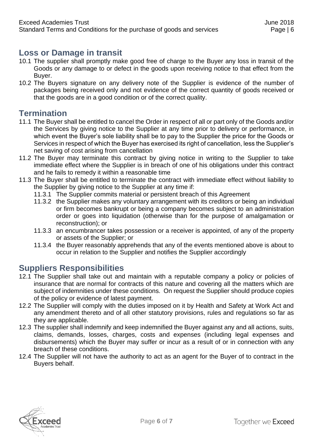#### <span id="page-5-0"></span>**Loss or Damage in transit**

- 10.1 The supplier shall promptly make good free of charge to the Buyer any loss in transit of the Goods or any damage to or defect in the goods upon receiving notice to that effect from the Buyer.
- 10.2 The Buyers signature on any delivery note of the Supplier is evidence of the number of packages being received only and not evidence of the correct quantity of goods received or that the goods are in a good condition or of the correct quality.

#### <span id="page-5-1"></span>**Termination**

- 11.1 The Buyer shall be entitled to cancel the Order in respect of all or part only of the Goods and/or the Services by giving notice to the Supplier at any time prior to delivery or performance, in which event the Buyer's sole liability shall be to pay to the Supplier the price for the Goods or Services in respect of which the Buyer has exercised its right of cancellation, less the Supplier's net saving of cost arising from cancellation
- 11.2 The Buyer may terminate this contract by giving notice in writing to the Supplier to take immediate effect where the Supplier is in breach of one of his obligations under this contract and he fails to remedy it within a reasonable time
- 11.3 The Buyer shall be entitled to terminate the contract with immediate effect without liability to the Supplier by giving notice to the Supplier at any time if:
	- 11.3.1 The Supplier commits material or persistent breach of this Agreement
	- 11.3.2 the Supplier makes any voluntary arrangement with its creditors or being an individual or firm becomes bankrupt or being a company becomes subject to an administration order or goes into liquidation (otherwise than for the purpose of amalgamation or reconstruction); or
	- 11.3.3 an encumbrancer takes possession or a receiver is appointed, of any of the property or assets of the Supplier; or
	- 11.3.4 the Buyer reasonably apprehends that any of the events mentioned above is about to occur in relation to the Supplier and notifies the Supplier accordingly

#### <span id="page-5-2"></span>**Suppliers Responsibilities**

- 12.1 The Supplier shall take out and maintain with a reputable company a policy or policies of insurance that are normal for contracts of this nature and covering all the matters which are subject of indemnities under these conditions. On request the Supplier should produce copies of the policy or evidence of latest payment.
- 12.2 The Supplier will comply with the duties imposed on it by Health and Safety at Work Act and any amendment thereto and of all other statutory provisions, rules and regulations so far as they are applicable.
- 12.3 The supplier shall indemnify and keep indemnified the Buyer against any and all actions, suits, claims, demands, losses, charges, costs and expenses (including legal expenses and disbursements) which the Buyer may suffer or incur as a result of or in connection with any breach of these conditions.
- 12.4 The Supplier will not have the authority to act as an agent for the Buyer of to contract in the Buyers behalf.